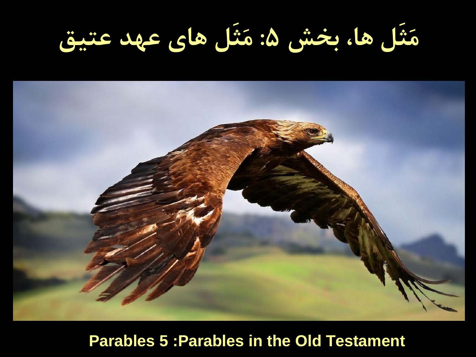**مَثَل ها، بخش :5 مَثَل های عهد عتیق**



**Parables 5 :Parables in the Old Testament**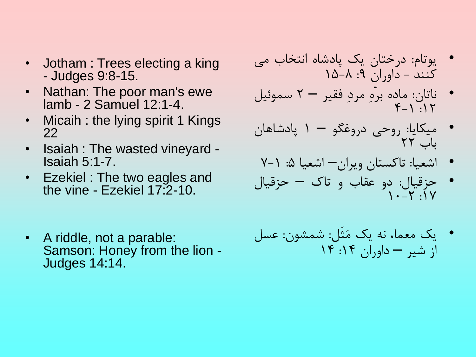- Jotham : Trees electing a king - Judges 9:8-15.
- Nathan: The poor man's ewe lamb - 2 Samuel 12:1-4.
- Micaih : the lying spirit 1 Kings 22
- Isaiah : The wasted vineyard Isaiah 5:1-7.
- Ezekiel : The two eagles and the vine - Ezekiel 17:2-10.
- A riddle, not a parable: Samson: Honey from the lion - Judges 14:14.
- یوتام: درختان یک پادشاه انتخاب می  $\lambda$ کنند - داوران ۹: ۸-۱۵ $\lambda$
- ناتان: ماده برّهِ مردِ فقیر 2 سموئیل  $Y-1 : Y$
- میکایا: روحی دروغگو 1 پادشاهان باب 22
	- اشعیا: تاکستان ویران— اشعیا ۵: ۰۱–۷
- حزقیال: دو عقاب و تاک حزقیال  $1.7$  :1Y
- یک معما، نه یک مَثَل: شمشون: عسل از شیر – داوران :14 14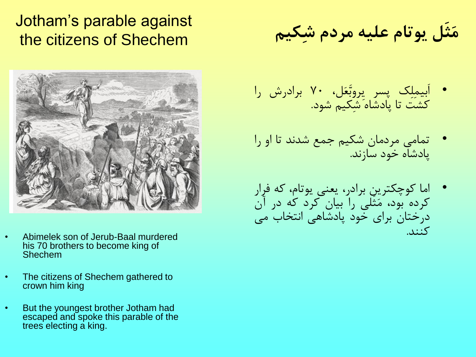#### Jotham's parable against the citizens of Shechem



- Abimelek son of Jerub-Baal murdered his 70 brothers to become king of Shechem
- The citizens of Shechem gathered to crown him king
- But the youngest brother Jotham had escaped and spoke this parable of the trees electing a king.

**مَثَل یوتام علیه مردم شِکیم**

- اَبیمِلِک پسر یِروبَّعَل، 70 برادرش را کشت تا پادشاه شِکیم شود.
- تمامی مردمان شکیم جمع شدند تا او را پادشاه خود سازند.
- اما کوچکترین برادر، یعنی یوتام، که فرار کرده بود، مَثَلی را بیان کرد که در آن درختان برای خود پادشاهی انتخاب می کنند.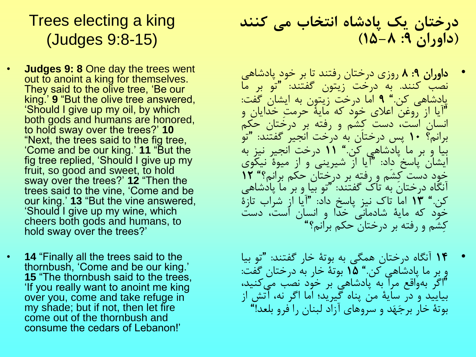### Trees electing a king (Judges 9:8-15)

- **Judges 9: 8** One day the trees went out to anoint a king for themselves. They said to the olive tree, 'Be our king.' **9** "But the olive tree answered, 'Should I give up my oil, by which both gods and humans are honored, to hold sway over the trees?' **10** "Next, the trees said to the fig tree, 'Come and be our king.' **11** "But the fig tree replied, 'Should I give up my fruit, so good and sweet, to hold sway over the trees?' **12** "Then the trees said to the vine, 'Come and be our king.' **13** "But the vine answered, 'Should I give up my wine, which cheers both gods and humans, to hold sway over the trees?'
	- **14** "Finally all the trees said to the thornbush, 'Come and be our king.' **15** "The thornbush said to the trees, 'If you really want to anoint me king over you, come and take refuge in my shade; but if not, then let fire come out of the thornbush and consume the cedars of Lebanon!'

### **درختان یک پادشاه انتخاب می کنند )داوران :9 15-8(**

- داوران :9 8 روزی درختان رفتند تا بر خود پادشاهی نصب کنند. به درخت زیتون گفتند: "تو بر ما پادشاهی کن." 9 اما درخت زیتون به ایشان گفت: "آیا از روغن اعالی خود که مایۀ حرمتِ خدایان و انسان است، دست کِشَم و رفته بر درختان حکم برانم؟ ١٠ پس درختان به درخت انجیر گفتند: "تو بیا و بر ما پادشاهی کن." 11 درخت انجیر نیز به ایشان پاسخ داد: "ایا از شیرینی و از میوۀ نیکوی خود دست کِشَم و رفته بر درختان حکم برانم؟" 12 انگاه درختان به تاک گفتند: "تو بیا و بر ما پادشاهی کن." ۱۳ اما تاک نیز پاسخ داد: "ایا از شراب تازۀ خود که مایۀ شادمانی خدا و انسان است، دست کِشَم و رفته بر درختان حکم برانم؟"
- "تو بیا 14 آنگاه درختان همگی به بوتۀ خار گفتند: و بر ما پادشاهی کن." 15 بوتۀ خار به درختان گفت: "اگر به واقع مرا به پادشاهی بر خود نصب می کنید، بیایید و در سایۀ من پناه گیرید؛ اما اگر نه، آتش از بوتۀ خار برجَهَد و سروهای آزاد لبنان را فرو بلعد!"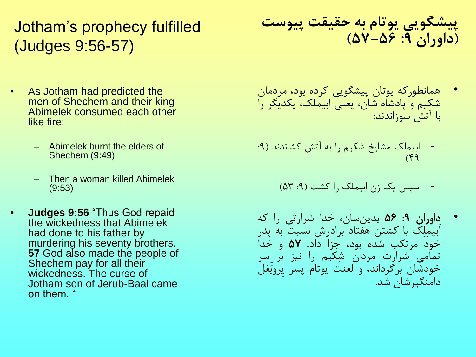### Jotham's prophecy fulfilled (Judges 9:56-57)

- As Jotham had predicted the men of Shechem and their king Abimelek consumed each other like fire:
	- Abimelek burnt the elders of Shechem (9:49)
	- Then a woman killed Abimelek (9:53)
- **Judges 9:56** "Thus God repaid the wickedness that Abimelek had done to his father by murdering his seventy brothers. **57** God also made the people of Shechem pay for all their wickedness. The curse of Jotham son of Jerub-Baal came on them. "

#### **پیشگویی یوتام به حقیقت پیوست )داوران :9 57-56(**

- همانطورکه یوتان پیشگویی کرده بود، مردمان شکیم و پادشاه شان، یعنی ابیملک، یکدیگر را با آتش سوزاندند:
- ابیملک مشایخ شکیم را به آتش کشاندند ):9 )49
	- سپس یک زن ابیملک را کشت ):9 53(
- داوران :9 56 بدین سان، خدا شرارتی را که اَبیمِلِک با کشتن هفتاد برادرش نسبت به پدر خود مرتکب شده بود، جزا داد. 57 و خدا تمامی شرارت مردان شِکیم را نیز بر سر خودشان برگرداند، و لعنت یوتام پسر یِروبَّعَل دامنگیرشان شد.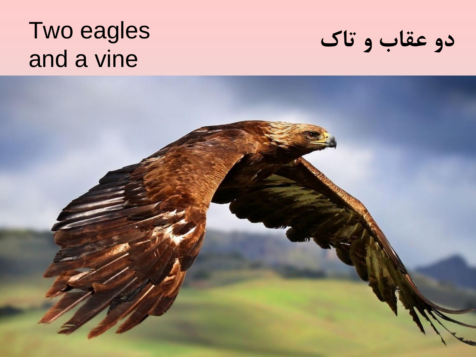# Two eagles and a vine

دو عقاب و تاک

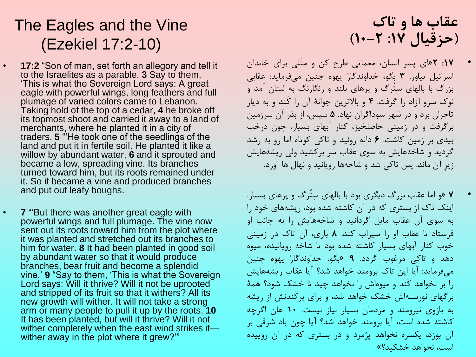### The Eagles and the Vine (Ezekiel 17:2-10)

- **17:2** "Son of man, set forth an allegory and tell it to the Israelites as a parable. **3** Say to them, 'This is what the Sovereign Lord says: A great eagle with powerful wings, long feathers and full plumage of varied colors came to Lebanon. Taking hold of the top of a cedar, **4** he broke off its topmost shoot and carried it away to a land of merchants, where he planted it in a city of traders. **5** "'He took one of the seedlings of the land and put it in fertile soil. He planted it like a willow by abundant water, **6** and it sprouted and became a low, spreading vine. Its branches turned toward him, but its roots remained under it. So it became a vine and produced branches and put out leafy boughs.
- **7** "'But there was another great eagle with powerful wings and full plumage. The vine now sent out its roots toward him from the plot where it was planted and stretched out its branches to him for water. **8** It had been planted in good soil by abundant water so that it would produce branches, bear fruit and become a splendid vine.' **9** "Say to them, 'This is what the Sovereign Lord says: Will it thrive? Will it not be uprooted and stripped of its fruit so that it withers? All its new growth will wither. It will not take a strong arm or many people to pull it up by the roots. **10** It has been planted, but will it thrive? Will it not wither completely when the east wind strikes it wither away in the plot where it grew?'"

**عقاب ها و تاک )حزقیال :17 10-2(**

- :17 2»ای پسر انسان، معمایی طرح کن و مثَلی برای خاندان اسرائیل بیاور. 3 بگو، خداوندگارْ یهوه چنین می فرماید: عقابی بزرگ با بالهای سِتُرگ و پرهای بلند و رنگارنگ به لبنان آمد و نوک سرو آزاد را گرفت. 4 و باالترین جوانۀ آن را کَند و به دیار تاجران برد و در شهر سوداگران نهاد. 5 سپس، از بذر آن سرزمین برگرفت و در زمینی حاصلخیز، کنار آبهای بسیار، چون درخت بیدی بر زمین کاشت. 6 دانه روئید و تاکی کوتاه اما رو به رشد گردید و شاخه هایش به سوی عقاب سر برکشید ولی ریشه هایش زیرِ آن ماند. پس تاکی شد و شاخه ها رویانید و نهال ها آورد.
- 7 »و اما عقاب بزرگ دیگری بود با بالهای سِتُرگ و پرهای بسیار. اینک تاک از بستری که در آن کاشته شده بود، ریشه های خود را به سوی آن عقاب مایل گردانید و شاخه هایش را به جانب او فرستاد تا عقاب او را سیراب کند. 8 باری، آن تاک در زمینی خوب کنار آبهای بسیار کاشته شده بود تا شاخه رویانیده، میوه دهد و تاکی مرغوب گردد. 9 »بگو، خداوندگارْ یهوه چنین می فرماید: آیا این تاک برومند خواهد شد؟ آیا عقاب ریشه هایش را بر نخواهد کَند و میوه اش را نخواهد چید تا خشک شود؟ همۀ برگهای نورسته اش خشک خواهد شد، و برای برکَندنش از ریشه به بازوی نیرومند و مردمان بسیار نیاز نیست. 10 هان اگرچه کاشته شده است، آیا برومند خواهد شد؟ آیا چون باد شرقی بر آن بوزد، یکسره نخواهد پژمرد و در بستری که در آن روییده است، نخواهد خشکید؟«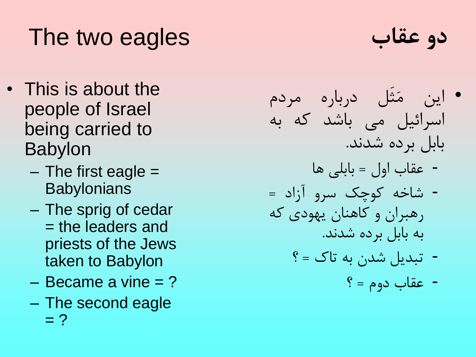# The two eagles

- This is about the people of Israel being carried to Babylon
	- $-$  The first eagle  $=$ **Babylonians**
	- The sprig of cedar = the leaders and priests of the Jews taken to Babylon
	- Became a vine = ?
	- The second eagle  $=$  ?

**دو عقاب**

- این مَثَل درباره مردم اسرائیل می باشد که به<br>بابل برده شدند.
	- عقاب اول = بابلی ها
- شاخه کوچک سرو آزاد = کاهنان یهودی که به بابل برده شدند.
	- ؟ تبدیل شدن به تاک =
		- ؟ عقاب دوم = -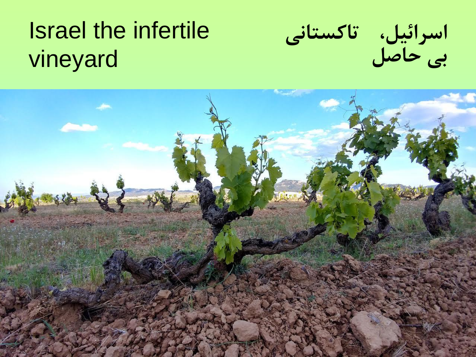# **Israel the infertile** vineyard

اسرائیل، تاکستانی<br>بی حاصل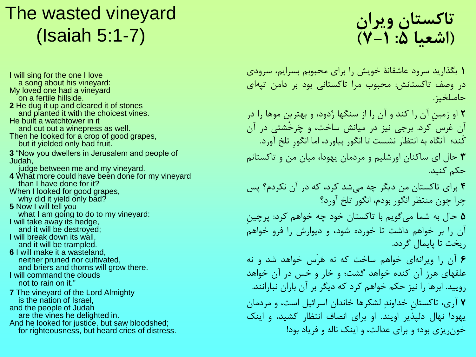### The wasted vineyard (Isaiah 5:1-7)

• I will sing for the one I love a song about his vineyard: My loved one had a vineyard on a fertile hillside. **2** He dug it up and cleared it of stones and planted it with the choicest vines. He built a watchtower in it and cut out a winepress as well. Then he looked for a crop of good grapes, but it yielded only bad fruit. • **3** "Now you dwellers in Jerusalem and people of Judah, judge between me and my vineyard. **4** What more could have been done for my vineyard than I have done for it? When I looked for good grapes, why did it yield only bad? **5** Now I will tell you what I am going to do to my vineyard: I will take away its hedge, and it will be destroyed; I will break down its wall, and it will be trampled. **6** I will make it a wasteland, neither pruned nor cultivated, and briers and thorns will grow there. I will command the clouds not to rain on it." • **7** The vineyard of the Lord Almighty is the nation of Israel, and the people of Judah are the vines he delighted in. And he looked for justice, but saw bloodshed; for righteousness, but heard cries of distress.

**تاکستان ویران )اشعیا :5 7-1(**

1 بگذارید سرود عاشقانۀ خویش را برای محبوبم بسرایم، سرودی در وصف تاکستانش: محبوب مرا تاکستانی بود بر دامن تپه ای حاصلخیز.

2 او زمینِ آن را کند و آن را از سنگها زُدود، و بهترین موها را در آن غرس کرد. برجی نیز در میانش ساخت، و چَرخُشتی در آن کَند؛ آنگاه به انتظار نشست تا انگور بیاورد، اما انگورِ تلخ آورد.

3 حال ای ساکنان اورشلیم و مردمان یهودا، میان من و تاکستانم حکم کنید.

4 برای تاکستان من دیگر چه می شد کرد، که در آن نکردم؟ پس چرا چون منتظر انگور بودم، انگور تلخ آورد؟

5 حال به شما می گویم با تاکستان خود چه خواهم کرد: پرچینِ آن را بر خواهم داشت تا خورده شود، و دیوارش را فرو خواهم ریخت تا پایمال گردد.

6 آن را ویرانه ای خواهم ساخت که نه هَرَس خواهد شد و نه علفهای هرز آن کنده خواهد گشت؛ و خار و خس در آن خواهد رویید. ابرها را نیز حکم خواهم کرد که دیگر بر آن باران نبارانند. 7 آری، تاکستانِ خداوندِ لشکرها خاندان اسرائیل است، و مردمان یهودا نهال دلپذیر اویند. او برای انصاف انتظار کشید، و اینک خون ریزی بود؛ و برای عدالت، و اینک ناله و فریاد بود!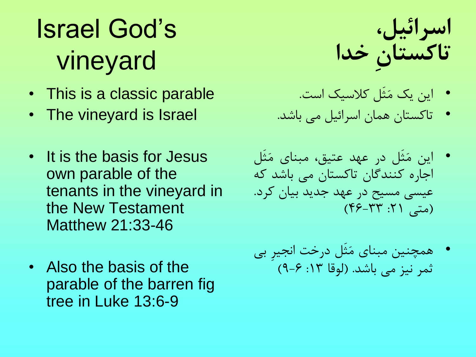# Israel God's vineyard

- This is a classic parable
- The vineyard is Israel
- It is the basis for Jesus own parable of the tenants in the vineyard in the New Testament Matthew 21:33-46
- Also the basis of the parable of the barren fig tree in Luke 13:6-9

**اسرائیل، تاکستانِ خدا**

- این یک مَثَل کالسیک است.
- تاکستان همان اسرائیل می باشد.
- این مَثَل در عهد عتیق، مبنای مَثَل اجاره کنندگان تاکستان می باشد که عیسی مسیح در عهد جدید بیان کرد. )متی :21 46-33(
- همچنین مبنای مَثَل درخت انجیرِ بی ثمر نیز می باشد. )لوقا :13 9-6(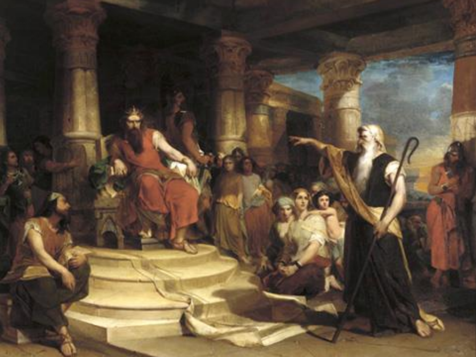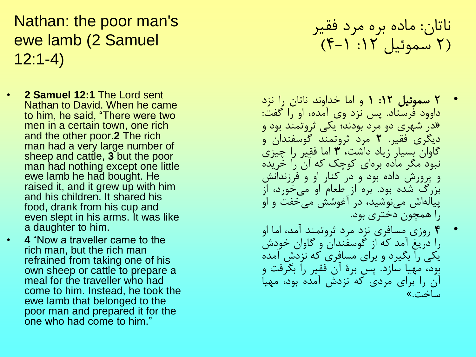Nathan: the poor man's ewe lamb (2 Samuel  $12:1-4)$ 

- **2 Samuel 12 : 1** The Lord sent Nathan to David. When he came to him, he said, "There were two men in a certain town, one rich and the other poor. **2** The rich man had a very large number of sheep and cattle, **3** but the poor man had nothing except one little ewe lamb he had bought. He raised it, and it grew up with him and his children. It shared his food, drank from his cup and even slept in his arms. It was like a daughter to him.
- **4** "Now a traveller came to the rich man, but the rich man refrained from taking one of his own sheep or cattle to prepare a meal for the traveller who had come to him. Instead, he took the ewe lamb that belonged to the poor man and prepared it for the one who had come to him."

ناتان: ماده بره مرد فقیر<br>(۲ سموئیل ۱:۱۲ -۴)

اما خداوند ناتان را نزد 2 سموئیل :12 1 و داوود فرستاد. پس نزد وی امده، او را گفت:<br>«در شهری دو مرد بودند؛ یکی ثروتمند بود و<br>دیگری فقیر. ۲ مرد ثروتمند گوسفندان و اما فقیر را چیزی گاوان بسیار زیاد داشت، 3 نبود مگر ماده بره ای کوچک که آن را خریده و پرورش داده بود و در کنار او و فرزندانش بزرگ شده بود. بره از طعام او می خورد، از پیالهاش مینوشید، در اغوشش میخفت و او<br>را همچون دختری بود. روزی مسافری نزد مرد ثروتمند آمد، اما او 4 • گاوان خودش را دریغ آمد که از گوسفندان و یکی را بگیرد و برای مسافِری که نزدش امده بود، مهیا سازد. پس برۀ آن فقیر را بگرفت و آن را برای مردی که نزدش آمده بود، مهیا<br>ساخت.»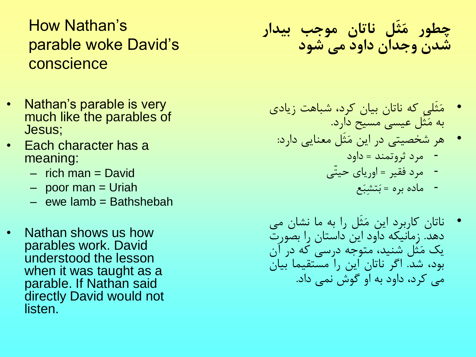How Nathan's parable woke David's conscience

- Nathan's parable is very much like the parables of Jesus;
- Each character has a meaning:
	- $-$  rich man = David
	- $-$  poor man  $=$  Uriah
	- $-$  ewe lamb = Bathshebah
- Nathan shows us how parables work. David understood the lesson when it was taught as a parable. If Nathan said directly David would not listen.

**چطور مَثَل ناتان موجب بیدار شدن وجدان داود می شود**

# مَثَلی که ناتان بیان کرد، شباهت زیادی<br>به مَثَل عیسی مسیح دارد.

- هر شخصیتی در این مَثَل معنایی دارد: به مَثَل عیسی مسیح دارد.
	- مرد ثروتمند = داود
	- مرد فقیر = اوریای حیتّی
		- بَتشِبَع ماده بره = -
- ناتان کاربرد این مَثَل را به ما نشان می • دهد. زمانیکه داود این داستان را بصورت یک مَثَل شنید، متوجه درسی که در آن بود، شد. اگر ناتان این را مستقیما بیان<br>می کرد، داود به او گوش نمی داد.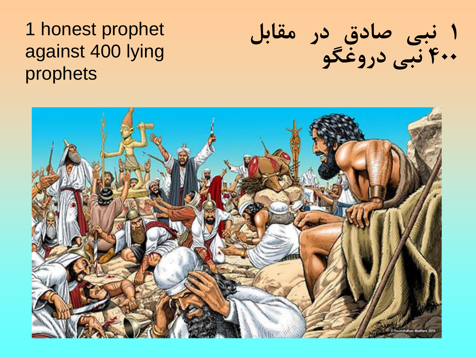### 1 honest prophet against 400 lying prophets

**نبی صادق در مقابل 1 400 نبی دروغگو**

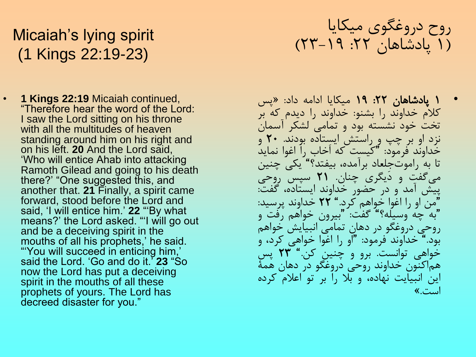### Micaiah's lying spirit (1 Kings 22:19-23)

• **1 Kings 22:19** Micaiah continued, "Therefore hear the word of the Lord: I saw the Lord sitting on his throne with all the multitudes of heaven standing around him on his right and on his left. **20** And the Lord said, 'Who will entice Ahab into attacking Ramoth Gilead and going to his death there?' "One suggested this, and another that. **21** Finally, a spirit came forward, stood before the Lord and said, 'I will entice him.' **22** "'By what means?' the Lord asked. "'I will go out and be a deceiving spirit in the mouths of all his prophets,' he said. "'You will succeed in enticing him,' said the Lord. 'Go and do it.' **23** "So now the Lord has put a deceiving spirit in the mouths of all these prophets of yours. The Lord has decreed disaster for you."



• 1 پادشاهان :22 19 میکایا ادامه داد: »پس کالم خداوند را بشنو: خداوند را دیدم که بر تخت خود نشسته بود و تمامی لشکر آسمان نزد او بر چپ و راستش ایستاده بودند. 20 و خداوند فرمود: "کیست که اخاب را اغوا نماید تا به راموت جِلعاد برآمده، بیفتد؟" یکی چنین می گفت و دیگری چنان. 21 سپس روحی پیش آمد و در حضور خداوند ایستاده، گفت: من او را اغوا خواهم کرد." 22 خداوند پرسید: " "به چه وسیله؟" گفت: "بیرون خواهم رفت و روحی دروغگو در دهان تمامی انبیایش خواهم بود." خداوند فرمود: "او را اغوا خواهی کرد، و خواهی توانست. برو و چنین کن." 23 پس هم اکنون خداوند روحی دروغگو در دهان همۀ این انبیایت نهاده، و بال را بر تو اعالم کرده است.«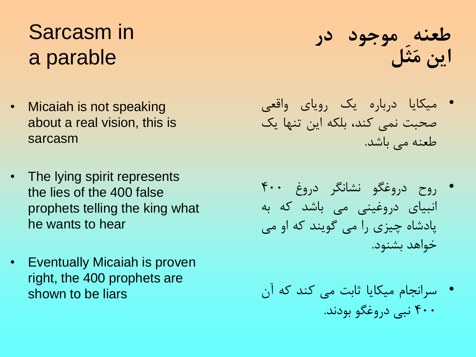## Sarcasm in a parable

- Micaiah is not speaking about a real vision, this is sarcasm
- The lying spirit represents the lies of the 400 false prophets telling the king what he wants to hear
- **Eventually Micaiah is proven** right, the 400 prophets are shown to be liars

**طعنه موجود در این مَثَل**

- میکایا درباره یک رویای واقعی صحبت نمی کند، بلکه این تنها یک طعنه می باشد.
- روح دروغگو نشانگر دروغ 400 انبیای دروغینی می باشد که به پادشاه چیزی را می گویند که او می خواهد بشنود.
- سرانجام میکایا ثابت می کند که آن 400 نبی دروغگو بودند.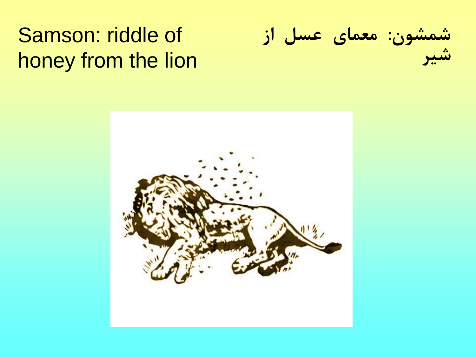### Samson: riddle of honey from the lion

**معمای عسل از شمشون: شیر** 

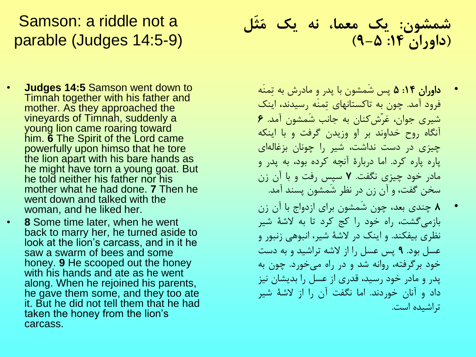Samson: a riddle not a parable (Judges 14:5-9)

- **Judges 14:5** Samson went down to Timnah together with his father and mother. As they approached the vineyards of Timnah, suddenly a young lion came roaring toward him. **6** The Spirit of the Lord came powerfully upon himso that he tore the lion apart with his bare hands as he might have torn a young goat. But he told neither his father nor his mother what he had done. **7** Then he went down and talked with the woman, and he liked her.
	- **8** Some time later, when he went back to marry her, he turned aside to look at the lion's carcass, and in it he saw a swarm of bees and some honey. **9** He scooped out the honey with his hands and ate as he went along. When he rejoined his parents, he gave them some, and they too ate it. But he did not tell them that he had taken the honey from the lion's carcass.

**شمشون: یک معما، نه یک مَثَل )داوران :14 9-5(**

- داوران :14 5 پس شَمشون با پدر و مادرش به تِمنَه فرود آمد. چون به تاکستانهای تِمنَه رسیدند، اینک شیری جوان، غرّش کنان به جانب شَمشون آمد. 6 آنگاه روح خداوند بر او وزیدن گرفت و با اینکه چیزی در دست نداشت، شیر را چونان بزغاله ای پاره پاره کرد. اما دربارۀ آنچه کرده بود، به پدر و مادر خود چیزی نگفت. 7 سپس رفت و با آن زن سخن گفت، و آن زن در نظر شَمشون پسند آمد.
- 8 چندی بعد، چون شَمشون برای ازدواج با آن زن بازمی گشت، راه خود را کج کرد تا به الشۀ شیر نظری بیفکند. و اینک در الشۀ شیر، انبوهی زنبور و عسل بود. 9 پس عسل را از الشه تراشید و به دست خود برگرفته، روانه شد و در راه می خورد. چون به پدر و مادر خود رسید، قدری از عسل را بدیشان نیز داد و آنان خوردند. اما نگفت آن را از الشۀ شیر تراشیده است.